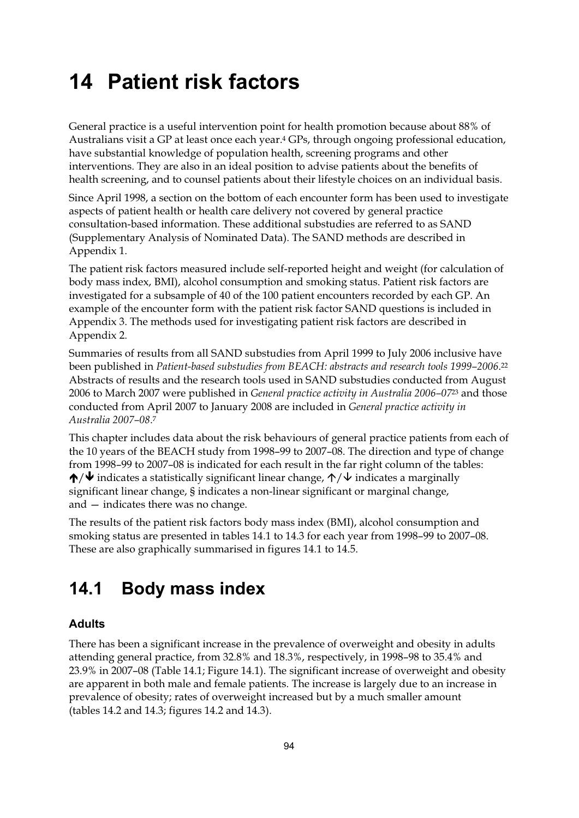# **14 Patient risk factors**

General practice is a useful intervention point for health promotion because about 88% of Australians visit a GP at least once each year.4 GPs, through ongoing professional education, have substantial knowledge of population health, screening programs and other interventions. They are also in an ideal position to advise patients about the benefits of health screening, and to counsel patients about their lifestyle choices on an individual basis.

Since April 1998, a section on the bottom of each encounter form has been used to investigate aspects of patient health or health care delivery not covered by general practice consultation-based information. These additional substudies are referred to as SAND (Supplementary Analysis of Nominated Data). The SAND methods are described in Appendix 1.

The patient risk factors measured include self-reported height and weight (for calculation of body mass index, BMI), alcohol consumption and smoking status. Patient risk factors are investigated for a subsample of 40 of the 100 patient encounters recorded by each GP. An example of the encounter form with the patient risk factor SAND questions is included in Appendix 3. The methods used for investigating patient risk factors are described in Appendix 2.

Summaries of results from all SAND substudies from April 1999 to July 2006 inclusive have been published in *Patient-based substudies from BEACH: abstracts and research tools 1999–2006*.22 Abstracts of results and the research tools used in SAND substudies conducted from August 2006 to March 2007 were published in *General practice activity in Australia 2006–07*23 and those conducted from April 2007 to January 2008 are included in *General practice activity in Australia 2007–08*.7

This chapter includes data about the risk behaviours of general practice patients from each of the 10 years of the BEACH study from 1998–99 to 2007–08. The direction and type of change from 1998–99 to 2007–08 is indicated for each result in the far right column of the tables:  $\bigwedge/\bigvee$  indicates a statistically significant linear change,  $\bigwedge/\bigvee$  indicates a marginally significant linear change, § indicates a non-linear significant or marginal change, and — indicates there was no change.

The results of the patient risk factors body mass index (BMI), alcohol consumption and smoking status are presented in tables 14.1 to 14.3 for each year from 1998–99 to 2007–08. These are also graphically summarised in figures 14.1 to 14.5.

### **14.1 Body mass index**

#### **Adults**

There has been a significant increase in the prevalence of overweight and obesity in adults attending general practice, from 32.8% and 18.3%, respectively, in 1998–98 to 35.4% and 23.9% in 2007–08 (Table 14.1; Figure 14.1). The significant increase of overweight and obesity are apparent in both male and female patients. The increase is largely due to an increase in prevalence of obesity; rates of overweight increased but by a much smaller amount (tables 14.2 and 14.3; figures 14.2 and 14.3).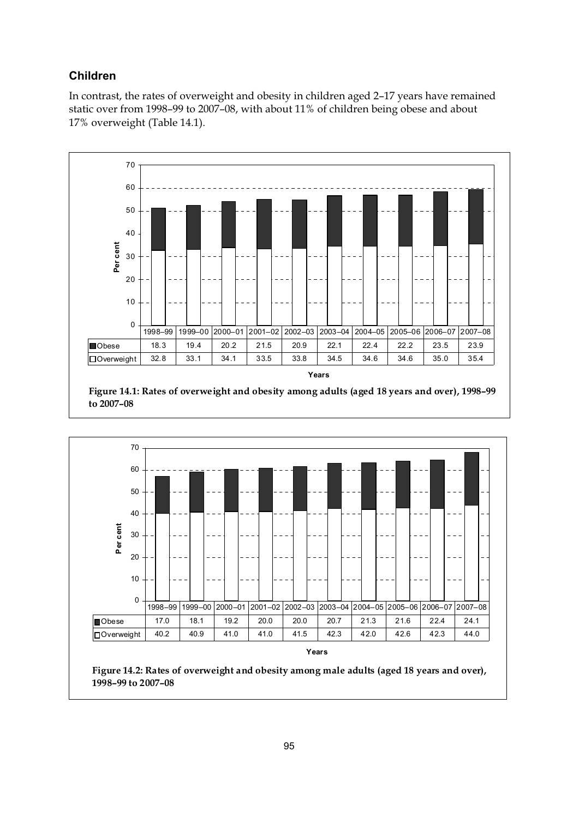#### **Children**

In contrast, the rates of overweight and obesity in children aged 2–17 years have remained static over from 1998–99 to 2007–08, with about 11% of children being obese and about 17% overweight (Table 14.1).





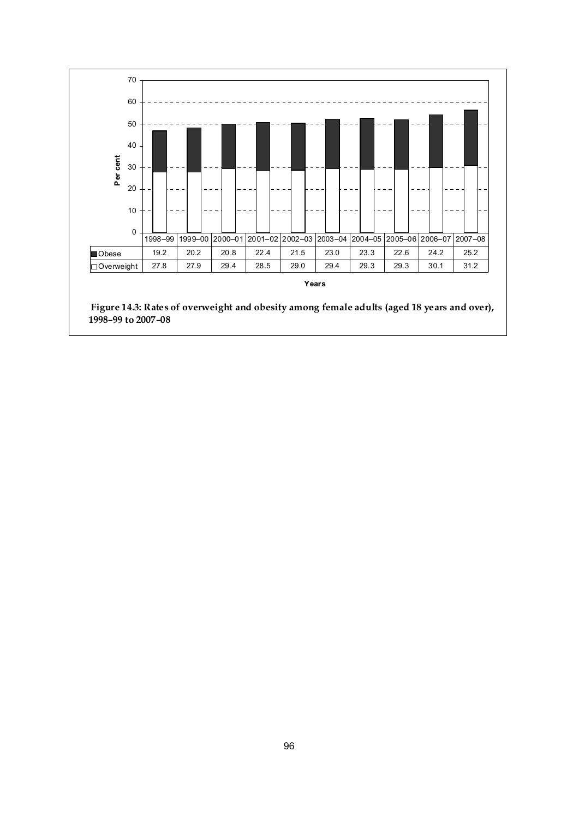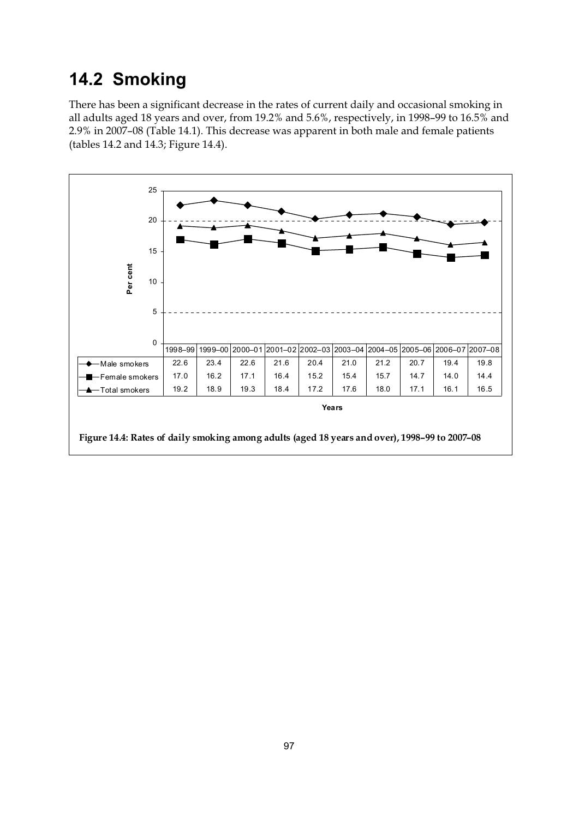### **14.2 Smoking**

There has been a significant decrease in the rates of current daily and occasional smoking in all adults aged 18 years and over, from 19.2% and 5.6%, respectively, in 1998–99 to 16.5% and 2.9% in 2007–08 (Table 14.1). This decrease was apparent in both male and female patients (tables 14.2 and 14.3; Figure 14.4).



**Figure 14.4: Rates of daily smoking among adults (aged 18 years and over), 1998–99 to 2007–08**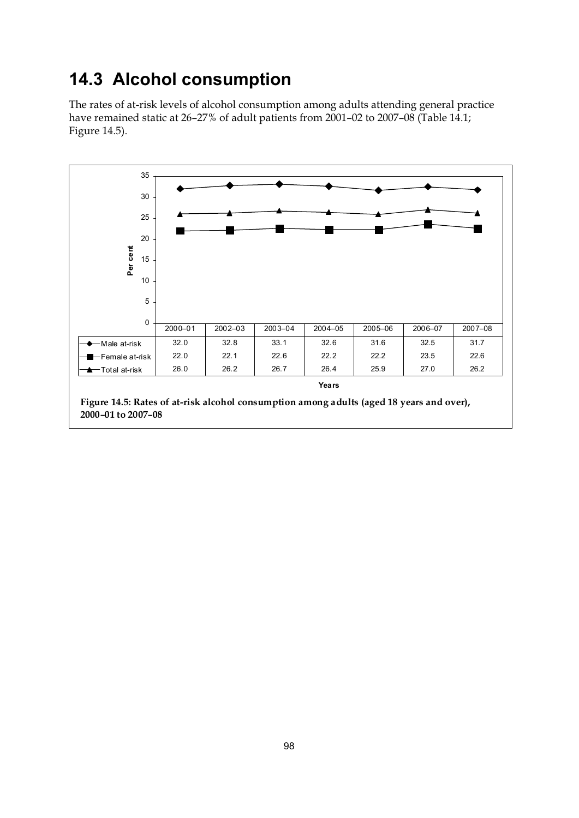## **14.3 Alcohol consumption**

The rates of at-risk levels of alcohol consumption among adults attending general practice have remained static at 26–27% of adult patients from 2001–02 to 2007–08 (Table 14.1; Figure 14.5).

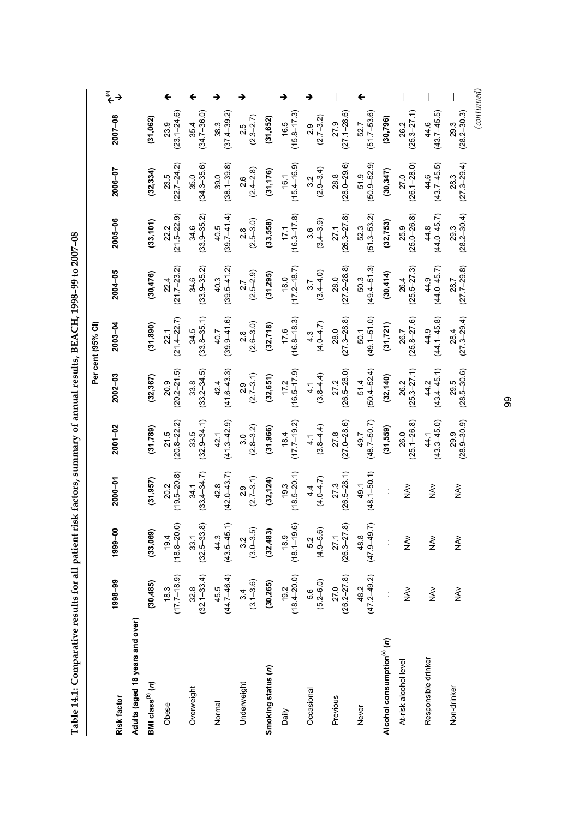| <br> <br>             |
|-----------------------|
| $\overline{a}$        |
|                       |
| i                     |
|                       |
| ,<br>;<br>;<br>;<br>; |
|                       |
|                       |
|                       |
|                       |
|                       |
|                       |
| <b>SPARE</b>          |
|                       |
|                       |
|                       |
|                       |
|                       |
|                       |
|                       |
|                       |
| l                     |
|                       |
|                       |
|                       |
|                       |
|                       |
|                       |
|                       |
|                       |
|                       |
|                       |
| י<br>ו<br>֠           |
|                       |

|                                        |                                                   |                           |                                |                           |                           | Per cent (95% CI)         |                           |                           |                           |                           |     |
|----------------------------------------|---------------------------------------------------|---------------------------|--------------------------------|---------------------------|---------------------------|---------------------------|---------------------------|---------------------------|---------------------------|---------------------------|-----|
| Risk factor                            | 1998-99                                           | 1999-00                   | 2000-01                        | $2001 - 02$               | $2002 - 03$               | $2003 - 04$               | 2004-05                   | $2005 - 06$               | 2006-07                   | 2007-08                   | ⇒ گ |
| Adults (aged 18 years and over)        |                                                   |                           |                                |                           |                           |                           |                           |                           |                           |                           |     |
| <b>BMI</b> class <sup>(b)</sup> (n)    | (30, 485)                                         | (33,069)                  | (31, 957)                      | (31, 789)                 | (32, 367)                 | (31, 890)                 | (30, 476)                 | (33, 101)                 | (32, 334)                 | (31,062)                  |     |
| Obese                                  | $(17.7-18.9)$                                     | $(18.8 - 20.0)$           | $20.2$<br>(19.5–20.8)          | $21.5$<br>$(20.8-22.2)$   | $20.9$<br>$(20.2-21.5)$   | $22.1$<br>$(21.4-22.7)$   | $22.4$<br>(21.7–23.2)     | $22.2$<br>$(21.5-22.9)$   | $23.5$<br>$(22.7-24.2)$   | $23.9$<br>$(23.1 - 24.6)$ |     |
| Overweight                             | $32.8$<br>(32.1–33.4)                             | $33.1$<br>$(32.5-33.8)$   | $(33\,4 - 34.7)$               | $(32.9 - 34.1)$<br>33.5   | $33.8$<br>(33.2–34.5)     | $34.5$<br>(33.8–35.1)     | $34.6$<br>(33.9–35.2)     | 34.6<br>(33.9–35.2)       | $(34.3 - 35.6)$<br>35.0   | 35.4<br>(34.7–36.0)       |     |
| Normal                                 | $45.5$<br>(44.7–46.4)                             | $44.3$<br>$(43.5-45.1)$   | $42.8$<br>$(42.0 - 43.7)$      | $42.1$<br>$(41.3 - 42.9)$ | $42.4$<br>(41.6–43.3)     | $40.7$<br>(39.9–41.6)     | $40.3$<br>(39.5–41.2)     | $40.5$<br>(39.7–41.4)     | $39.0$<br>$(38.1 - 39.8)$ | $38.3$<br>$(37.4-39.2)$   |     |
| Underweight                            | $3.4$<br>(3.1–3.6)                                | $3.2$<br>(3.0–3.5)        | $(2.7-3.1)$                    | $(2.8-3.2)$               | $2.9$<br>$(2.7-3.1)$      | $(2.6 - 3.0)$             | $2.7$<br>$(2.5-2.9)$      | $(2.5-3.0)$               | $2.6$<br>$(2.4 - 2.8)$    | $(2.3 - 2.7)$             |     |
| Smoking status (n)                     | (30, 265)                                         | (32, 483)                 | (32, 124)                      | (31,966)                  | (32, 651)                 | (32,718)                  | (31,295)                  | (33,558)                  | (31, 176)                 | (31, 652)                 |     |
| Daily                                  | $19.2$<br>$(18.4-20.0)$                           | $(18.1 - 19.6)$           | $(18.5-20.1)$                  | $18.4$<br>(17.7–19.2)     | $17.2$<br>(16.5–17.9)     | $176$<br>(16.8–18.3)      | $(17.2 - 18.7)$           | $(16.3 - 17.8)$           | $16.1$<br>$(15.4 - 16.9)$ | $(15.8 - 17.3)$           |     |
| Occasional                             | $\begin{array}{c} 5.6 \\ (5.2 - 6.0) \end{array}$ | $5.2$<br>(4.9–5.6)        | $(4.0 - 4.7)$                  | $4.1$<br>(3.8–4.4)        | $4.1$<br>(3.8–4.4)        | $43$<br>(4.0–4.7)         | $3.7$<br>(3.4–4.0)        | $3.6$<br>(3.4–3.9)        | $(2.9-3.4)$               | $2.9$<br>(2.7–3.2)        |     |
| Previous                               | $27.0$<br>(26.2–27.8)                             | $27.1$<br>$(26.3 - 27.8)$ | $(26.5-28.1)$<br>$(48.1-50.1)$ | $27.8$<br>(27.0–28.6)     | $27.2$<br>$(26.5-28.0)$   | $28.0$<br>$(27.3 - 28.8)$ | $28.0$<br>$(27.2-28.8)$   | $27.1$<br>$(26.3 - 27.8)$ | $28.8$<br>$(28.0-29.6)$   | $27.9$<br>$(27.1 - 28.6)$ |     |
| Never                                  | $48.2$<br>$(47.2 - 49.2)$                         | 48.8<br>(47.9–49.7)       |                                | 49.7<br>(48.7–50.7)       | $51.4$<br>(50.4–52.4)     | $50.1$<br>(49.1–51.0)     | $50.3$<br>(49.4–51.3)     | 52.3<br>(51.3–53.2)       | $51.9$<br>$(50.9 - 52.9)$ | 52.7<br>(51.7–53.6)       |     |
| Alcohol consumption <sup>(c)</sup> (n) | $\frac{1}{2}$                                     |                           | $\frac{1}{2}$                  | (31, 559)                 | (32, 140)                 | (31, 721)                 | (30, 414)                 | (32, 753)                 | (30, 347)                 | (30, 796)                 |     |
| At-risk alcohol level                  | NAV                                               | NAv                       | $\frac{\lambda}{2}$            | $26.0$<br>$(25.1 - 26.8)$ | $26.2$<br>$(25.3-27.1)$   | $26.7$<br>$(25.8 - 27.6)$ | $26.4$<br>$(25.5-27.3)$   | $25.9$<br>$(25.0-26.8)$   | $27.0$<br>$(26.1 - 28.0)$ | $26.2$<br>$(25.3 - 27.1)$ |     |
| Responsible drinker                    | <b>NAV</b>                                        | NA <sub>V</sub>           | <b>NAV</b>                     | $44.1$<br>$(43.3 - 45.0)$ | $44.2$<br>$(43.4 - 45.1)$ | $44.9$<br>$(44.1 - 45.8)$ | $44.9$<br>$(44.0 - 45.7)$ | $44.8$<br>$(44.0 - 45.7)$ | $44.6$<br>$(43.7-45.5)$   | $44.6$<br>$(43.7 - 45.5)$ |     |
| Non-drinker                            | NAV<br>Z                                          | $\frac{2}{5}$             | <b>NAV</b>                     | $(28.9 - 30.9)$<br>29.9   | $29.5$<br>$(28.5-30.6)$   | $28.4$<br>$(27.3-29.4)$   | $28.7$<br>$(27.7-29.8)$   | $29.3$<br>$(28.2 - 30.4)$ | $(27.3 - 29.4)$<br>28.3   | $29.3$<br>$(28.2 - 30.3)$ |     |
|                                        |                                                   |                           |                                |                           |                           |                           |                           |                           |                           | (continued)               |     |

99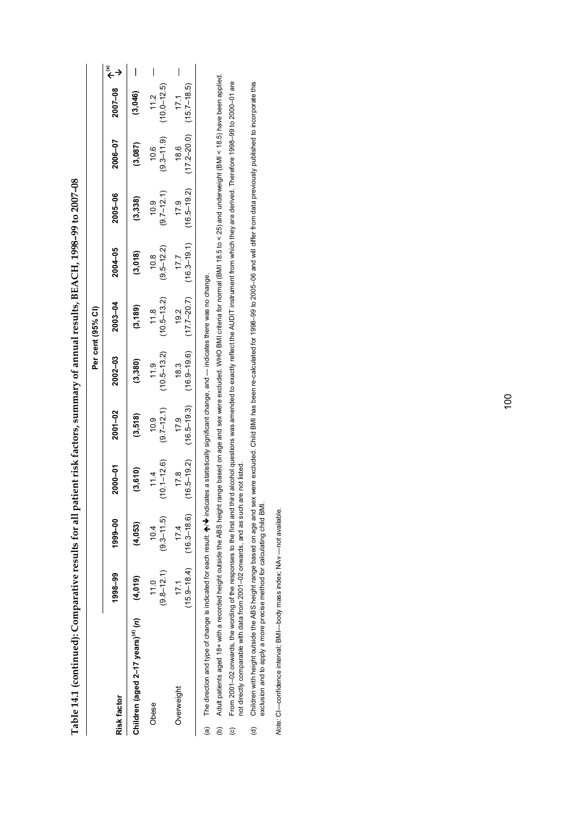|                                                |                                  |                                         |                         |                         |                         | Per cent (95% CI)       |                                    |                         |                                        |                            |   |
|------------------------------------------------|----------------------------------|-----------------------------------------|-------------------------|-------------------------|-------------------------|-------------------------|------------------------------------|-------------------------|----------------------------------------|----------------------------|---|
| Risk factor                                    | 1998-99                          | 1999-00                                 | 2000-01                 | $2001 - 02$             | $2002 - 03$             | 2003-04                 | $2004 - 05$                        | $2005 - 06$             | 2006-07                                | $2007 - 08$ $\updownarrow$ |   |
| Children (aged 2–17 years) $^{(d)}(n)$ (4,019) |                                  | (4,053)                                 | (3, 610)                | (3,518)                 | (3, 380)                | (3, 189)                | (3,018)                            | (3,338)                 | (3,087)                                | (3,046)                    | ١ |
| Obese                                          | $(9.8 - 12.1)$<br>$\frac{0}{10}$ | $(9.3 - 11.5)$<br>10.4                  | $(10.1 - 12.6)$<br>11.4 | $(9.7 - 12.1)$<br>10.9  | $(10.5 - 13.2)$<br>11.9 | $(10.5 - 13.2)$<br>11.8 | $(9.5 - 12.2)$<br>10.8             | $(9.7 - 12.1)$<br>10.9  | $(9.3 - 11.9)$ $(10.0 - 12.5)$<br>10.6 | 11.2                       |   |
| <b>Overweight</b>                              | 17.1                             | $(15.9 - 18.4)$ $(16.3 - 18.6)$<br>17.4 | $(16.5 - 19.2)$<br>17.8 | $(16.5 - 19.3)$<br>17.9 | $(16.9 - 19.6)$<br>18.3 | 19.2                    | $(17.7-20.7)$ $(16.3-19.1)$<br>177 | $(16.5 - 19.2)$<br>17.9 | $(17.2-20.0)$ $(15.7-18.5)$<br>18.6    | 17.1                       |   |
|                                                |                                  |                                         |                         |                         |                         |                         |                                    |                         |                                        |                            |   |

**Table 14.1 (continued): Comparative results for all patient risk factors, summary of annual results, BEACH, 1998–99 to 2007–08**  Table 14.1 (continued): Comparative results for all patient risk factors, summary of annual results, BEACH, 1998-99 to 2007-08

 $\mathcal W$  indicates a statistically significant change, and  $-$  indicates there was no change. The direction and type of change is indicated for each result:  $\bigwedge$  indicates a statistically significant change, and  $-$  indicates there was no change. (a) The direction and type of change is indicated for each result:  $\spadesuit$ 

Adult patients aged 18+ with a recorded height outside the ABS height range based on age and sex were excluded. WHO BMI criteria for normal (BMI 18.5 to < 25) and underweight (BMI < 18.5) have been applied. (b) Adult patients aged 18+ with a recorded height outside the ABS height range based on age and sex were excluded. WHO BMI criteria for normal (BMI 18.5 to < 25) and underweight (BMI < 18.5) have been applied.  $\widehat{\mathfrak{g}}$   $\widehat{\mathfrak{g}}$ 

From 2001–02 onwards, the wording of the responses to the first and third alcohol questions was amended to exactly reflect the AUDIT instrument from which they are derived. Therefore 1998–99 to 2000–01 are (c) From 2001–02 onwards, the wording of the responses to the first and third alcohol questions was amended to exactly reflect the AUDIT instrument from which they are derived. Therefore 1998–99 to 2000–01 are not directly comparable with data from 2001-02 onwards, and as such are not listed. not directly comparable with data from 2001–02 onwards, and as such are not listed.  $\odot$ 

Children with height outside the ABS height range based on age and sex were excluded. Child BMI has been re-calculated for 1998–99 to 2005–06 and will differ from data previously published to incorporate this<br>exclusion and (d) Children with height outside the ABS height range based on age and sex were excluded. Child BMI has been re-calculated for 1998–99 to 2005–06 and will differ from data previously published to incorporate this exclusion and to apply a more precise method for calculating child BMI.  $\widehat{c}$ 

Note: CI-confidence interval; BMI-body mass index; NAv -not available. *Note:* CI—confidence interval; BMI—body mass index; NAv —not available.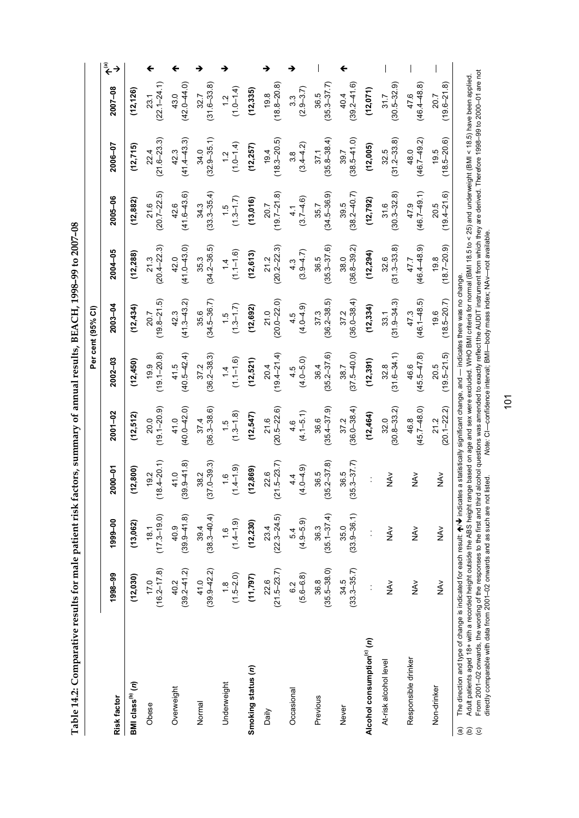| こう ほうらく こうろ こうこく コーパー・コード<br>)<br> <br>} |
|------------------------------------------|
|                                          |
| ۱                                        |
| `                                        |
|                                          |
|                                          |
| ו<br>ו                                   |
|                                          |
|                                          |
|                                          |
|                                          |
|                                          |
|                                          |
|                                          |
|                                          |
|                                          |
|                                          |
|                                          |
|                                          |
|                                          |
|                                          |
|                                          |
|                                          |
|                                          |
| i                                        |
|                                          |
|                                          |
|                                          |
|                                          |
|                                          |
|                                          |
|                                          |
|                                          |
| こうしょう こうこうしょう<br>l                       |
|                                          |
|                                          |
|                                          |
|                                          |
|                                          |
|                                          |
|                                          |
| -<br>-<br>-<br>-<br>-                    |
|                                          |
|                                          |
|                                          |
| ĺ                                        |
|                                          |
|                                          |
|                                          |
| ׇ֚֚֘֝֕֝<br>l                             |
|                                          |
|                                          |
|                                          |
|                                          |

|                                                                                                                                                                                                                                                                                                                                                                                                                                                                                                                                                                                                                                     |                         |                           |                                |                         |                         | Per cent (95% CI)       |                         |                                |                                |                                   |     |
|-------------------------------------------------------------------------------------------------------------------------------------------------------------------------------------------------------------------------------------------------------------------------------------------------------------------------------------------------------------------------------------------------------------------------------------------------------------------------------------------------------------------------------------------------------------------------------------------------------------------------------------|-------------------------|---------------------------|--------------------------------|-------------------------|-------------------------|-------------------------|-------------------------|--------------------------------|--------------------------------|-----------------------------------|-----|
| Risk factor                                                                                                                                                                                                                                                                                                                                                                                                                                                                                                                                                                                                                         | 1998-99                 | 1999-00                   | $2000 - 01$                    | $2001 - 02$             | 2002-03                 | $2003 - 04$             | 2004-05                 | 2005-06                        | 2006-07                        | 2007-08                           | ∉حَ |
| <b>BMI</b> class <sup>(b)</sup> (n)                                                                                                                                                                                                                                                                                                                                                                                                                                                                                                                                                                                                 | (12, 030)               | (13,062)                  | (12, 800)                      | (12, 512)               | (12, 450)               | (12, 434)               | (12, 288)               | (12, 882)                      | (12, 715)                      | (12, 126)                         |     |
| Obese                                                                                                                                                                                                                                                                                                                                                                                                                                                                                                                                                                                                                               | $(16.2 - 17.8)$         | $18.1$<br>(17.3–19.0)     | $18.4 - 20.1$<br>19.2          | $(19.1 - 20.9)$<br>20.0 | $(19.1 - 20.8)$<br>19.9 | $(19.8 - 21.5)$<br>20.7 | $(20.4 - 22.3)$<br>21.3 | $(20.7 - 22.5)$<br>21.6        | $(21.6 - 23.3)$<br>22.4        | $(22.1 - 24.1)$<br>23.1           | ←   |
| Overweight                                                                                                                                                                                                                                                                                                                                                                                                                                                                                                                                                                                                                          | $40.2$<br>(39.2–41.2)   | $40.9$<br>$(39.9 - 41.8)$ | $39.9 - 41.8$<br>41.0          | $(40.0 - 42.0)$<br>41.0 | $(40.5 - 42.4)$<br>41.5 | $(41.3 - 43.2)$<br>42.3 | $(41.0 - 43.0)$<br>42.0 | $(41.6 - 43.6)$<br>42.6        | $(41.4 - 43.3)$<br>42.3        | $(42.0 - 44.0)$<br>43.0           |     |
| Normal                                                                                                                                                                                                                                                                                                                                                                                                                                                                                                                                                                                                                              | $41.0$<br>(39.9–42.2)   | $39.4$<br>$(38.3 - 40.4)$ | $37.0 - 39.3$<br>38.2          | $(36.3 - 38.6)$<br>37.4 | $(36.2 - 38.3)$<br>37.2 | $(34.5 - 36.7)$<br>35.6 | $(34.2 - 36.5)$<br>35.3 | $(33.3 - 35.4)$<br>34.3        | $(32.9 - 35.1)$<br>34.0        | $(31.6 - 33.8)$<br>32.7           |     |
| Underweight                                                                                                                                                                                                                                                                                                                                                                                                                                                                                                                                                                                                                         | $(1.5-2.0)$             | $(1.4 - 1.9)$             | $(1.4 - 1.9)$<br>$\frac{6}{1}$ | $(1.3-1.8)$             | $(1.1 - 1.6)$           | $(1.3-1.7)$             | $(1.1 - 1.6)$<br>1.4    | $(1.3 - 1.7)$<br>$\frac{5}{1}$ | $(1.0 - 1.4)$<br>$\frac{2}{1}$ | $(1.0 - 1.4)$<br>$\frac{1}{2}$    |     |
| Smoking status (n)                                                                                                                                                                                                                                                                                                                                                                                                                                                                                                                                                                                                                  | (11, 797)               | (12, 230)                 | (12, 869)                      | (12, 547)               | (12, 521)               | (12, 692)               | (12, 613)               | (13,016)                       | (12, 257)                      | (12, 335)                         |     |
| Daily                                                                                                                                                                                                                                                                                                                                                                                                                                                                                                                                                                                                                               | $22.6$<br>(21.5–23.7)   | $23.4$<br>$(22.3-24.5)$   | $21.5 - 23.7$<br>22.6          | $21.6$<br>$(20.5-22.6)$ | $20.4$<br>(19.4–21.4)   | $(20.0 - 22.0)$<br>21.0 | $21.2$<br>$(20.2-22.3)$ | $(19.7 - 21.8)$<br>20.7        | $(18.3 - 20.5)$<br>19.4        | $(18.8 - 20.8)$<br>19.8           |     |
| Occasional                                                                                                                                                                                                                                                                                                                                                                                                                                                                                                                                                                                                                          | $(5.6 - 6.8)$<br>6.2    | $(4.9 - 5.9)$             | $(4.0 - 4.9)$<br>4.4           | $4.6$<br>$(4.1 - 5.1)$  | $(4.0 - 5.0)$<br>4.5    | $(4.0 - 4.9)$<br>4.5    | $(3.9 - 4.7)$<br>43     | $(3.7 - 4.6)$<br>$\frac{1}{4}$ | $(3.4 - 4.2)$<br>3.8           | $(2.9 - 3.7)$<br>$3.\overline{3}$ |     |
| Previous                                                                                                                                                                                                                                                                                                                                                                                                                                                                                                                                                                                                                            | $36.8$<br>$(35.5-38.0)$ | $36.3$<br>$(35.1 - 37.4)$ | $35.2 - 37.8$<br>36.5          | $(35.4 - 37.9)$<br>36.6 | $(35.2 - 37.6)$<br>36.4 | $(36.2 - 38.5)$<br>37.3 | $(35.3 - 37.6)$<br>36.5 | $(34.5 - 36.9)$<br>35.7        | $(35.8 - 38.4)$<br>37.1        | $(35.3 - 37.7)$<br>36.5           |     |
| Never                                                                                                                                                                                                                                                                                                                                                                                                                                                                                                                                                                                                                               | $34.5$<br>(33.3–35.7)   | $35.0$<br>$(33.9-36.1)$   | $35.3 - 37.7$<br>36.5          | $(36.0 - 38.4)$<br>37.2 | $(37.5 - 40.0)$<br>38.7 | $(36.0 - 38.4)$<br>37.2 | $(36.8 - 39.2)$<br>38.0 | $(38.2 - 40.7)$<br>39.5        | $(38.5 - 41.0)$<br>39.7        | $(39.2 - 41.6)$<br>40.4           |     |
| Alcohol consumption <sup>(c)</sup> (n)                                                                                                                                                                                                                                                                                                                                                                                                                                                                                                                                                                                              |                         |                           |                                | (12, 464)               | (12, 391)               | (12, 334)               | (12, 294)               | (12, 792)                      | (12,005)                       | (12, 071)                         |     |
| At-risk alcohol level                                                                                                                                                                                                                                                                                                                                                                                                                                                                                                                                                                                                               | $\tilde{\mathbb{E}}$    | NA <sub>V</sub>           | <b>NAV</b>                     | $(30.8 - 33.2)$<br>32.0 | $(31.6 - 34.1)$<br>32.8 | $(31.9 - 34.3)$<br>33.1 | $(31.3 - 33.8)$<br>32.6 | $(30.3 - 32.8)$<br>31.6        | $(31.2 - 33.8)$<br>32.5        | $(30.5 - 32.9)$<br>31.7           |     |
| Responsible drinker                                                                                                                                                                                                                                                                                                                                                                                                                                                                                                                                                                                                                 | $\tilde{\mathbb{E}}$    | $\frac{\lambda}{2}$       | $\frac{2}{2}$                  | $(45.7 - 48.0)$<br>46.8 | $(45.5 - 47.8)$<br>46.6 | $(46.1 - 48.5)$<br>47.3 | $(46.4 - 48.9)$<br>47.7 | $(46.7 - 49.1)$<br>47.9        | $(46.7 - 49.2)$<br>48.0        | $(46.4 - 48.8)$<br>47.6           |     |
| Non-drinker                                                                                                                                                                                                                                                                                                                                                                                                                                                                                                                                                                                                                         | $\tilde{\mathbb{E}}$    | $\frac{2}{2}$             | $\frac{2}{2}$                  | $(20.1 - 22.2)$<br>21.2 | $(19.5 - 21.5)$<br>20.5 | $(18.5 - 20.7)$<br>19.6 | $(18.7 - 20.9)$<br>19.8 | $(19.4 - 21.6)$<br>20.5        | $(18.5 - 20.6)$<br>19.5        | $(19.6 - 21.8)$<br>20.7           |     |
| From 2001–02 onwards, the wording of the responses to the first and third alcohol questions was amended to exactly reflect the AUDIT instrument from which they are derived. Therefore 1998-99 to 2000–01 are not<br>Adult patients aged 18+ with a recorded height outside the ABS height range based on age and sex were excluded. WHO BMI criteria for normal (BMI 18.5 to < 25) and underweight (BMI < 18.5) have been applied<br>The direction and type of change is indicated for each result: $\bigwedge\bigvee$ indicates a statistically significant change, and $-$ indicates there was no change.<br>$\widehat{a}$<br>ΘG |                         |                           |                                |                         |                         |                         |                         |                                |                                |                                   |     |

The direction and type of change is indicated for each result: **A/↓** indicates a statistically significant change, and — indicates there was no change.<br>Adult patients aged 18+ with a recorded height outside the ABS height (c) From 2001–02 onwards, the wording of the responses to the first and third alcohol questions was amended to exactly reflect the AUDIT instrument from which they are derived. Therefore 1998–99 to 2000–01 are not directly comparable with data from 2001–02 onwards and as such are not listed. *Note:* CI—confidence interval; BMI—body mass index; NAv—not available.